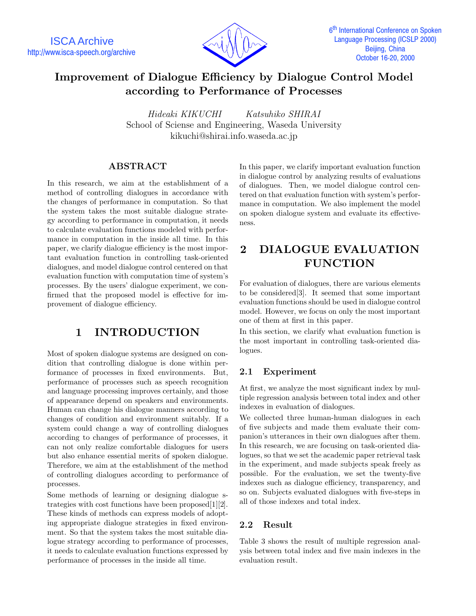ISCA Archive http://www.isca-speech.org/archive



# **Improvement of Dialogue Efficiency by Dialogue Control Model according to Performance of Processes**

*Hideaki KIKUCHI Katsuhiko SHIRAI* School of Sciense and Engineering, Waseda University kikuchi@shirai.info.waseda.ac.jp

### **ABSTRACT**

In this research, we aim at the establishment of a method of controlling dialogues in accordance with the changes of performance in computation. So that the system takes the most suitable dialogue strategy according to performance in computation, it needs to calculate evaluation functions modeled with performance in computation in the inside all time. In this paper, we clarify dialogue efficiency is the most important evaluation function in controlling task-oriented dialogues, and model dialogue control centered on that evaluation function with computation time of system's processes. By the users' dialogue experiment, we confirmed that the proposed model is effective for improvement of dialogue efficiency.

# **1 INTRODUCTION**

Most of spoken dialogue systems are designed on condition that controlling dialogue is done within performance of processes in fixed environments. But, performance of processes such as speech recognition and language processing improves certainly, and those of appearance depend on speakers and environments. Human can change his dialogue manners according to changes of condition and environment suitably. If a system could change a way of controlling dialogues according to changes of performance of processes, it can not only realize comfortable dialogues for users but also enhance essential merits of spoken dialogue. Therefore, we aim at the establishment of the method of controlling dialogues according to performance of processes.

Some methods of learning or designing dialogue strategies with cost functions have been proposed[1][2]. These kinds of methods can express models of adopting appropriate dialogue strategies in fixed environment. So that the system takes the most suitable dialogue strategy according to performance of processes, it needs to calculate evaluation functions expressed by performance of processes in the inside all time.

In this paper, we clarify important evaluation function in dialogue control by analyzing results of evaluations of dialogues. Then, we model dialogue control centered on that evaluation function with system's performance in computation. We also implement the model on spoken dialogue system and evaluate its effectiveness.

# **2 DIALOGUE EVALUATION FUNCTION**

For evaluation of dialogues, there are various elements to be considered[3]. It seemed that some important evaluation functions should be used in dialogue control model. However, we focus on only the most important one of them at first in this paper.

In this section, we clarify what evaluation function is the most important in controlling task-oriented dialogues.

## **2.1 Experiment**

At first, we analyze the most significant index by multiple regression analysis between total index and other indexes in evaluation of dialogues.

We collected three human-human dialogues in each of five subjects and made them evaluate their companion's utterances in their own dialogues after them. In this research, we are focusing on task-oriented dialogues, so that we set the academic paper retrieval task in the experiment, and made subjects speak freely as possible. For the evaluation, we set the twenty-five indexes such as dialogue efficiency, transparency, and so on. Subjects evaluated dialogues with five-steps in all of those indexes and total index.

## **2.2 Result**

Table 3 shows the result of multiple regression analysis between total index and five main indexes in the evaluation result.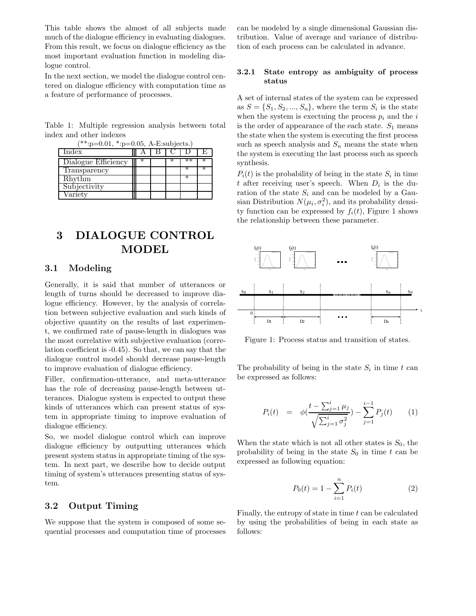This table shows the almost of all subjects made much of the dialogue efficiency in evaluating dialogues. From this result, we focus on dialogue efficiency as the most important evaluation function in modeling dialogue control.

In the next section, we model the dialogue control centered on dialogue efficiency with computation time as a feature of performance of processes.

Table 1: Multiple regression analysis between total index and other indexes  $(**... \ 0.01*, 0.05, A$ 

| $\therefore p=0.01, \therefore p=0.05, A-E:supjects.$ |  |  |  |  |   |  |  |
|-------------------------------------------------------|--|--|--|--|---|--|--|
| Index                                                 |  |  |  |  |   |  |  |
| Dialogue Efficiency                                   |  |  |  |  |   |  |  |
| Transparency                                          |  |  |  |  |   |  |  |
| Rhythm                                                |  |  |  |  | ж |  |  |
| Subjectivity                                          |  |  |  |  |   |  |  |
| Variety                                               |  |  |  |  |   |  |  |

# **3 DIALOGUE CONTROL MODEL**

#### **3.1 Modeling**

Generally, it is said that number of utterances or length of turns should be decreased to improve dialogue efficiency. However, by the analysis of correlation between subjective evaluation and such kinds of objective quantity on the results of last experiment, we confirmed rate of pause-length in dialogues was the most correlative with subjective evaluation (correlation coefficient is -0.45). So that, we can say that the dialogue control model should decrease pause-length to improve evaluation of dialogue efficiency.

Filler, confirmation-utterance, and meta-utterance has the role of decreasing pause-length between utterances. Dialogue system is expected to output these kinds of utterances which can present status of system in appropriate timing to improve evaluation of dialogue efficiency.

So, we model dialogue control which can improve dialogue efficiency by outputting utterances which present system status in appropriate timing of the system. In next part, we describe how to decide output timing of system's utterances presenting status of system.

### **3.2 Output Timing**

We suppose that the system is composed of some sequential processes and computation time of processes can be modeled by a single dimensional Gaussian distribution. Value of average and variance of distribution of each process can be calculated in advance.

#### **3.2.1 State entropy as ambiguity of process status**

A set of internal states of the system can be expressed as  $S = \{S_1, S_2, ..., S_n\}$ , where the term  $S_i$  is the state when the system is exectuing the process  $p_i$  and the  $i$ is the order of appearance of the each state.  $S_1$  means the state when the system is executing the first process such as speech analysis and  $S_n$  means the state when the system is executing the last process such as speech synthesis.

 $P_i(t)$  is the probability of being in the state  $S_i$  in time t after receiving user's speech. When  $D_i$  is the duration of the state  $S_i$  and can be modeled by a Gausian Distribution  $N(\mu_i, \sigma_i^2)$ , and its probability density function can be expressed by  $f_i(t)$ , Figure 1 shows the relationship between these parameter.



Figure 1: Process status and transition of states.

The probability of being in the state  $S_i$  in time  $t$  can be expressed as follows:

$$
P_i(t) = \phi\left(\frac{t - \sum_{j=1}^i \mu_j}{\sqrt{\sum_{j=1}^i \sigma_j^2}}\right) - \sum_{j=1}^{i-1} P_j(t) \qquad (1)
$$

When the state which is not all other states is  $S_0$ , the probability of being in the state  $S_0$  in time t can be expressed as following equation:

$$
P_0(t) = 1 - \sum_{i=1}^{n} P_i(t)
$$
 (2)

Finally, the entropy of state in time  $t$  can be calculated by using the probabilities of being in each state as follows: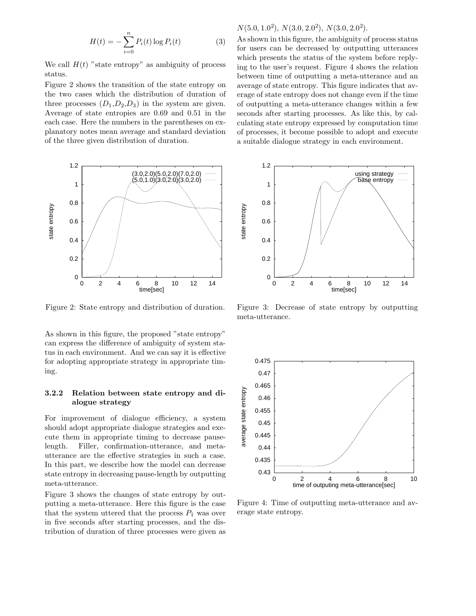$$
H(t) = -\sum_{i=0}^{n} P_i(t) \log P_i(t)
$$
 (3)

We call  $H(t)$  "state entropy" as ambiguity of process status.

Figure 2 shows the transition of the state entropy on the two cases which the distribution of duration of three processes  $(D_1, D_2, D_3)$  in the system are given. Average of state entropies are 0.69 and 0.51 in the each case. Here the numbers in the parentheses on explanatory notes mean average and standard deviation of the three given distribution of duration.



Figure 2: State entropy and distribution of duration.

As shown in this figure, the proposed "state entropy" can express the difference of ambiguity of system status in each environment. And we can say it is effective for adopting appropriate strategy in appropriate timing.

#### **3.2.2 Relation between state entropy and dialogue strategy**

For improvement of dialogue efficiency, a system should adopt appropriate dialogue strategies and execute them in appropriate timing to decrease pauselength. Filler, confirmation-utterance, and metautterance are the effective strategies in such a case. In this part, we describe how the model can decrease state entropy in decreasing pause-length by outputting meta-utterance.

Figure 3 shows the changes of state entropy by outputting a meta-utterance. Here this figure is the case that the system uttered that the process  $P_1$  was over in five seconds after starting processes, and the distribution of duration of three processes were given as

## $N(5.0, 1.0^2), N(3.0, 2.0^2), N(3.0, 2.0^2).$

As shown in this figure, the ambiguity of process status for users can be decreased by outputting utterances which presents the status of the system before replying to the user's request. Figure 4 shows the relation between time of outputting a meta-utterance and an average of state entropy. This figure indicates that average of state entropy does not change even if the time of outputting a meta-utterance changes within a few seconds after starting processes. As like this, by calculating state entropy expressed by computation time of processes, it become possible to adopt and execute a suitable dialogue strategy in each environment.



Figure 3: Decrease of state entropy by outputting meta-utterance.



Figure 4: Time of outputting meta-utterance and average state entropy.